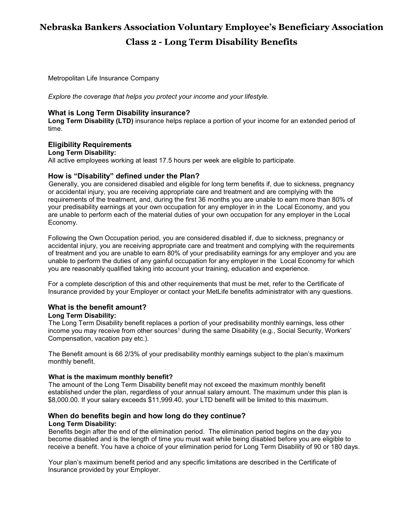# **Nebraska Bankers Association Voluntary Employee's Beneficiary Association Class 2 - Long Term Disability Benefits**

Metropolitan Life Insurance Company

*Explore the coverage that helps you protect your income and your lifestyle.*

# **What is Long Term Disability insurance?**

**Long Term Disability (LTD)** insurance helps replace a portion of your income for an extended period of time.

# **Eligibility Requirements**

#### **Long Term Disability:**

All active employees working at least 17.5 hours per week are eligible to participate.

## **How is "Disability" defined under the Plan?**

Generally, you are considered disabled and eligible for long term benefits if, due to sickness, pregnancy or accidental injury, you are receiving appropriate care and treatment and are complying with the requirements of the treatment, and, during the first 36 months you are unable to earn more than 80% of your predisability earnings at your own occupation for any employer in in the Local Economy, and you are unable to perform each of the material duties of your own occupation for any employer in the Local Economy.

Following the Own Occupation period, you are considered disabled if, due to sickness, pregnancy or accidental injury, you are receiving appropriate care and treatment and complying with the requirements of treatment and you are unable to earn 80% of your predisability earnings for any employer and you are unable to perform the duties of any gainful occupation for any employer in the Local Economy for which you are reasonably qualified taking into account your training, education and experience.

For a complete description of this and other requirements that must be met, refer to the Certificate of Insurance provided by your Employer or contact your MetLife benefits administrator with any questions.

# **What is the benefit amount?**

# **Long Term Disability:**

The Long Term Disability benefit replaces a portion of your predisability monthly earnings, less other income you may receive from other sources<sup>1</sup> during the same Disability (e.g., Social Security, Workers' Compensation, vacation pay etc.).

The Benefit amount is 66 2/3% of your predisability monthly earnings subject to the plan's maximum monthly benefit.

#### **What is the maximum monthly benefit?**

The amount of the Long Term Disability benefit may not exceed the maximum monthly benefit established under the plan, regardless of your annual salary amount. The maximum under this plan is \$8,000.00. If your salary exceeds \$11,999.40, your LTD benefit will be limited to this maximum.

#### **When do benefits begin and how long do they continue? Long Term Disability:**

Benefits begin after the end of the elimination period. The elimination period begins on the day you become disabled and is the length of time you must wait while being disabled before you are eligible to receive a benefit. You have a choice of your elimination period for Long Term Disability of 90 or 180 days.

Your plan's maximum benefit period and any specific limitations are described in the Certificate of Insurance provided by your Employer.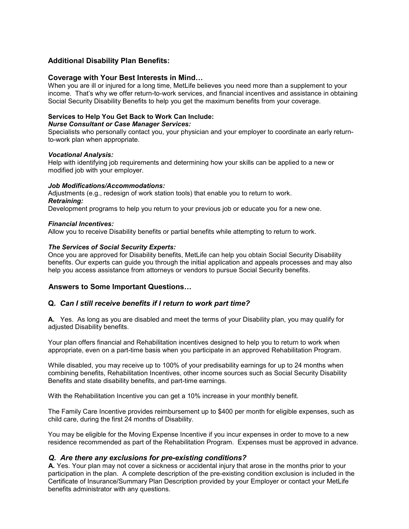# **Additional Disability Plan Benefits:**

#### **Coverage with Your Best Interests in Mind…**

When you are ill or injured for a long time, MetLife believes you need more than a supplement to your income. That's why we offer return-to-work services, and financial incentives and assistance in obtaining Social Security Disability Benefits to help you get the maximum benefits from your coverage.

### **Services to Help You Get Back to Work Can Include:**

#### *Nurse Consultant or Case Manager Services:*

Specialists who personally contact you, your physician and your employer to coordinate an early returnto-work plan when appropriate.

#### *Vocational Analysis:*

Help with identifying job requirements and determining how your skills can be applied to a new or modified job with your employer.

#### *Job Modifications/Accommodations:*

Adjustments (e.g., redesign of work station tools) that enable you to return to work. *Retraining:*

Development programs to help you return to your previous job or educate you for a new one.

#### *Financial Incentives:*

Allow you to receive Disability benefits or partial benefits while attempting to return to work.

#### *The Services of Social Security Experts:*

Once you are approved for Disability benefits, MetLife can help you obtain Social Security Disability benefits. Our experts can guide you through the initial application and appeals processes and may also help you access assistance from attorneys or vendors to pursue Social Security benefits.

## **Answers to Some Important Questions…**

## **Q.** *Can I still receive benefits if I return to work part time?*

**A.** Yes. As long as you are disabled and meet the terms of your Disability plan, you may qualify for adjusted Disability benefits.

Your plan offers financial and Rehabilitation incentives designed to help you to return to work when appropriate, even on a part-time basis when you participate in an approved Rehabilitation Program.

While disabled, you may receive up to 100% of your predisability earnings for up to 24 months when combining benefits, Rehabilitation Incentives, other income sources such as Social Security Disability Benefits and state disability benefits, and part-time earnings.

With the Rehabilitation Incentive you can get a 10% increase in your monthly benefit.

The Family Care Incentive provides reimbursement up to \$400 per month for eligible expenses, such as child care, during the first 24 months of Disability.

You may be eligible for the Moving Expense Incentive if you incur expenses in order to move to a new residence recommended as part of the Rehabilitation Program. Expenses must be approved in advance.

## *Q. Are there any exclusions for pre-existing conditions?*

**A.** Yes. Your plan may not cover a sickness or accidental injury that arose in the months prior to your participation in the plan. A complete description of the pre-existing condition exclusion is included in the Certificate of Insurance/Summary Plan Description provided by your Employer or contact your MetLife benefits administrator with any questions.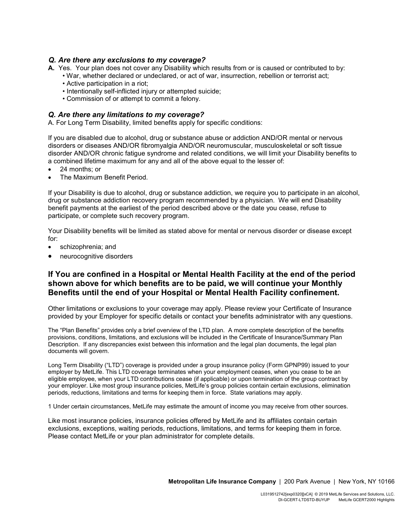## *Q. Are there any exclusions to my coverage?*

- **A.** Yes. Your plan does not cover any Disability which results from or is caused or contributed to by:
	- War, whether declared or undeclared, or act of war, insurrection, rebellion or terrorist act;
	- Active participation in a riot;
	- Intentionally self-inflicted injury or attempted suicide;
	- Commission of or attempt to commit a felony.

### *Q. Are there any limitations to my coverage?*

A. For Long Term Disability, limited benefits apply for specific conditions:

If you are disabled due to alcohol, drug or substance abuse or addiction AND/OR mental or nervous disorders or diseases AND/OR fibromyalgia AND/OR neuromuscular, musculoskeletal or soft tissue disorder AND/OR chronic fatigue syndrome and related conditions, we will limit your Disability benefits to a combined lifetime maximum for any and all of the above equal to the lesser of:

- 24 months; or
- The Maximum Benefit Period.

If your Disability is due to alcohol, drug or substance addiction, we require you to participate in an alcohol, drug or substance addiction recovery program recommended by a physician. We will end Disability benefit payments at the earliest of the period described above or the date you cease, refuse to participate, or complete such recovery program.

Your Disability benefits will be limited as stated above for mental or nervous disorder or disease except for:

- schizophrenia; and
- neurocognitive disorders

# **If You are confined in a Hospital or Mental Health Facility at the end of the period shown above for which benefits are to be paid, we will continue your Monthly Benefits until the end of your Hospital or Mental Health Facility confinement.**

Other limitations or exclusions to your coverage may apply. Please review your Certificate of Insurance provided by your Employer for specific details or contact your benefits administrator with any questions.

The "Plan Benefits" provides only a brief overview of the LTD plan. A more complete description of the benefits provisions, conditions, limitations, and exclusions will be included in the Certificate of Insurance/Summary Plan Description. If any discrepancies exist between this information and the legal plan documents, the legal plan documents will govern.

Long Term Disability ("LTD") coverage is provided under a group insurance policy (Form GPNP99) issued to your employer by MetLife. This LTD coverage terminates when your employment ceases, when you cease to be an eligible employee, when your LTD contributions cease (if applicable) or upon termination of the group contract by your employer. Like most group insurance policies, MetLife's group policies contain certain exclusions, elimination periods, reductions, limitations and terms for keeping them in force. State variations may apply.

1 Under certain circumstances, MetLife may estimate the amount of income you may receive from other sources.

Like most insurance policies, insurance policies offered by MetLife and its affiliates contain certain exclusions, exceptions, waiting periods, reductions, limitations, and terms for keeping them in force. Please contact MetLife or your plan administrator for complete details.